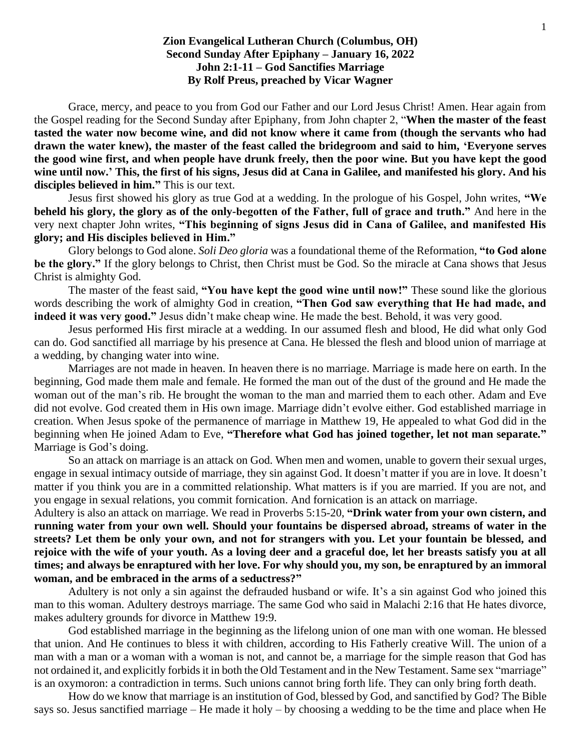## **Zion Evangelical Lutheran Church (Columbus, OH) Second Sunday After Epiphany – January 16, 2022 John 2:1-11 – God Sanctifies Marriage By Rolf Preus, preached by Vicar Wagner**

Grace, mercy, and peace to you from God our Father and our Lord Jesus Christ! Amen. Hear again from the Gospel reading for the Second Sunday after Epiphany, from John chapter 2, "**When the master of the feast tasted the water now become wine, and did not know where it came from (though the servants who had drawn the water knew), the master of the feast called the bridegroom and said to him, 'Everyone serves the good wine first, and when people have drunk freely, then the poor wine. But you have kept the good wine until now.' This, the first of his signs, Jesus did at Cana in Galilee, and manifested his glory. And his disciples believed in him."** This is our text.

Jesus first showed his glory as true God at a wedding. In the prologue of his Gospel, John writes, **"We beheld his glory, the glory as of the only-begotten of the Father, full of grace and truth."** And here in the very next chapter John writes, **"This beginning of signs Jesus did in Cana of Galilee, and manifested His glory; and His disciples believed in Him."**

Glory belongs to God alone. *Soli Deo gloria* was a foundational theme of the Reformation, **"to God alone be the glory."** If the glory belongs to Christ, then Christ must be God. So the miracle at Cana shows that Jesus Christ is almighty God.

The master of the feast said, **"You have kept the good wine until now!"** These sound like the glorious words describing the work of almighty God in creation, **"Then God saw everything that He had made, and indeed it was very good."** Jesus didn't make cheap wine. He made the best. Behold, it was very good.

Jesus performed His first miracle at a wedding. In our assumed flesh and blood, He did what only God can do. God sanctified all marriage by his presence at Cana. He blessed the flesh and blood union of marriage at a wedding, by changing water into wine.

Marriages are not made in heaven. In heaven there is no marriage. Marriage is made here on earth. In the beginning, God made them male and female. He formed the man out of the dust of the ground and He made the woman out of the man's rib. He brought the woman to the man and married them to each other. Adam and Eve did not evolve. God created them in His own image. Marriage didn't evolve either. God established marriage in creation. When Jesus spoke of the permanence of marriage in Matthew 19, He appealed to what God did in the beginning when He joined Adam to Eve, **"Therefore what God has joined together, let not man separate."** Marriage is God's doing.

So an attack on marriage is an attack on God. When men and women, unable to govern their sexual urges, engage in sexual intimacy outside of marriage, they sin against God. It doesn't matter if you are in love. It doesn't matter if you think you are in a committed relationship. What matters is if you are married. If you are not, and you engage in sexual relations, you commit fornication. And fornication is an attack on marriage.

Adultery is also an attack on marriage. We read in Proverbs 5:15-20, **"Drink water from your own cistern, and running water from your own well. Should your fountains be dispersed abroad, streams of water in the streets? Let them be only your own, and not for strangers with you. Let your fountain be blessed, and rejoice with the wife of your youth. As a loving deer and a graceful doe, let her breasts satisfy you at all times; and always be enraptured with her love. For why should you, my son, be enraptured by an immoral woman, and be embraced in the arms of a seductress?"**

Adultery is not only a sin against the defrauded husband or wife. It's a sin against God who joined this man to this woman. Adultery destroys marriage. The same God who said in Malachi 2:16 that He hates divorce, makes adultery grounds for divorce in Matthew 19:9.

God established marriage in the beginning as the lifelong union of one man with one woman. He blessed that union. And He continues to bless it with children, according to His Fatherly creative Will. The union of a man with a man or a woman with a woman is not, and cannot be, a marriage for the simple reason that God has not ordained it, and explicitly forbids it in both the Old Testament and in the New Testament. Same sex "marriage" is an oxymoron: a contradiction in terms. Such unions cannot bring forth life. They can only bring forth death.

How do we know that marriage is an institution of God, blessed by God, and sanctified by God? The Bible says so. Jesus sanctified marriage – He made it holy – by choosing a wedding to be the time and place when He